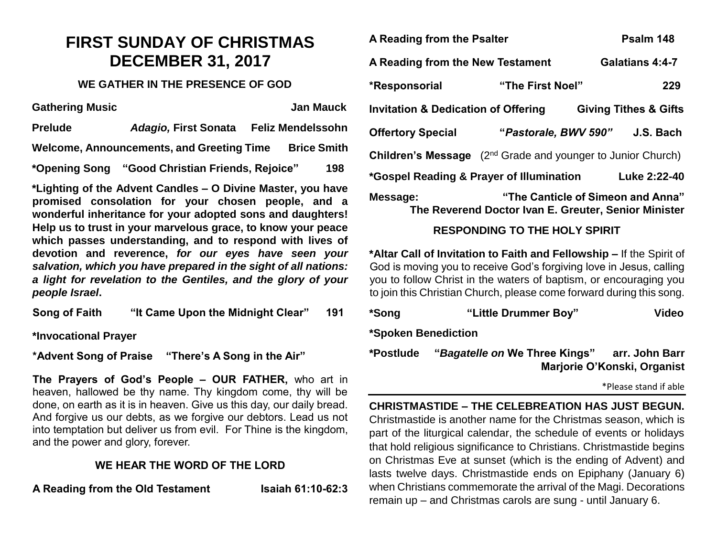## **FIRST SUNDAY OF CHRISTMAS DECEMBER 31, 2017**

## **WE GATHER IN THE PRESENCE OF GOD**

**Gathering Music Community Community Community Community Community Community Community Community Community Community Community Community Community Community Community Community Community Community Community Community Commu Prelude** *Adagio,* **First Sonata Feliz Mendelssohn**  Welcome, Announcements, and Greeting Time Brice Smith **\*Opening Song "Good Christian Friends, Rejoice" 198**

**\*Lighting of the Advent Candles – O Divine Master, you have promised consolation for your chosen people, and a wonderful inheritance for your adopted sons and daughters! Help us to trust in your marvelous grace, to know your peace which passes understanding, and to respond with lives of devotion and reverence,** *for our eyes have seen your salvation, which you have prepared in the sight of all nations: a light for revelation to the Gentiles, and the glory of your people Israel***.** 

**Song of Faith "It Came Upon the Midnight Clear" 191**

**\*Invocational Prayer**

**\*Advent Song of Praise "There's A Song in the Air"**

**The Prayers of God's People – OUR FATHER,** who art in heaven, hallowed be thy name. Thy kingdom come, thy will be done, on earth as it is in heaven. Give us this day, our daily bread. And forgive us our debts, as we forgive our debtors. Lead us not into temptation but deliver us from evil. For Thine is the kingdom, and the power and glory, forever.

## **WE HEAR THE WORD OF THE LORD**

**A Reading from the Old Testament Isaiah 61:10-62:3**

| A Reading from the Psalter                                                                                                                    |                  | Psalm 148                      |  |  |
|-----------------------------------------------------------------------------------------------------------------------------------------------|------------------|--------------------------------|--|--|
| A Reading from the New Testament                                                                                                              |                  | Galatians 4:4-7                |  |  |
| *Responsorial                                                                                                                                 | "The First Noel" | 229                            |  |  |
| <b>Invitation &amp; Dedication of Offering</b><br><b>Giving Tithes &amp; Gifts</b>                                                            |                  |                                |  |  |
| <b>Offertory Special</b>                                                                                                                      |                  | "Pastorale, BWV 590" J.S. Bach |  |  |
| <b>Children's Message</b> (2 <sup>nd</sup> Grade and younger to Junior Church)                                                                |                  |                                |  |  |
| *Gospel Reading & Prayer of Illumination                                                                                                      |                  | Luke 2:22-40                   |  |  |
| "The Canticle of Simeon and Anna"<br>Message:<br>The Reverend Doctor Ivan E. Greuter, Senior Minister<br><b>RESPONDING TO THE HOLY SPIRIT</b> |                  |                                |  |  |
| *Altar Call of Invitation to Faith and Fellowship - If the Spirit of<br>God is moving you to receive God's forgiving love in Jesus, calling   |                  |                                |  |  |

you to follow Christ in the waters of baptism, or encouraging you to join this Christian Church, please come forward during this song.

| *Song               | "Little Drummer Boy"          | Video                                         |  |
|---------------------|-------------------------------|-----------------------------------------------|--|
| *Spoken Benediction |                               |                                               |  |
| *Postlude           | "Bagatelle on We Three Kings" | arr. John Barr<br>Marjorie O'Konski, Organist |  |
|                     |                               |                                               |  |

\*Please stand if able

**CHRISTMASTIDE – THE CELEBREATION HAS JUST BEGUN.**  Christmastide is another name for the Christmas season, which is part of the liturgical calendar, the schedule of events or holidays that hold religious significance to Christians. Christmastide begins on Christmas Eve at sunset (which is the ending of Advent) and lasts twelve days. Christmastide ends on Epiphany (January 6) when Christians commemorate the arrival of the Magi. Decorations remain up – and Christmas carols are sung - until January 6.